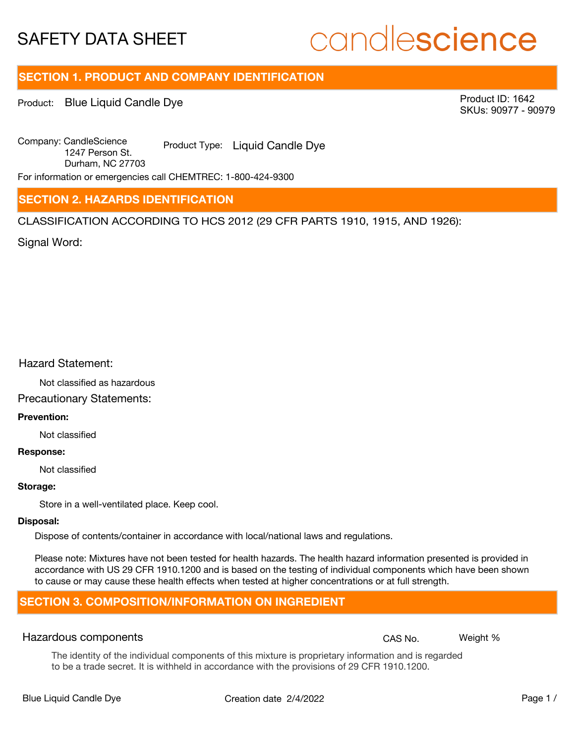# candlescience

# **SECTION 1. PRODUCT AND COMPANY IDENTIFICATION**

Product: Blue Liquid Candle Dye

Product ID: 1642 SKUs: 90977 - 90979

Company: Candle Science Product Type: Liquid Candle Dye 1247 Person St. Durham, NC 27703

For information or emergencies call CHEMTREC: 1-800-424-9300

# **SECTION 2. HAZARDS IDENTIFICATION**

CLASSIFICATION ACCORDING TO HCS 2012 (29 CFR PARTS 1910, 1915, AND 1926):

Signal Word:

# Hazard Statement:

Not classified as hazardous

# Precautionary Statements:

# **Prevention:**

Not classified

#### **Response:**

Not classified

### **Storage:**

Store in a well-ventilated place. Keep cool.

### **Disposal:**

Dispose of contents/container in accordance with local/national laws and regulations.

Please note: Mixtures have not been tested for health hazards. The health hazard information presented is provided in accordance with US 29 CFR 1910.1200 and is based on the testing of individual components which have been shown to cause or may cause these health effects when tested at higher concentrations or at full strength.

# **SECTION 3. COMPOSITION/INFORMATION ON INGREDIENT**

## Hazardous components **CAS No. Weight %** and CAS No. Weight %

The identity of the individual components of this mixture is proprietary information and is regarded to be a trade secret. It is withheld in accordance with the provisions of 29 CFR 1910.1200.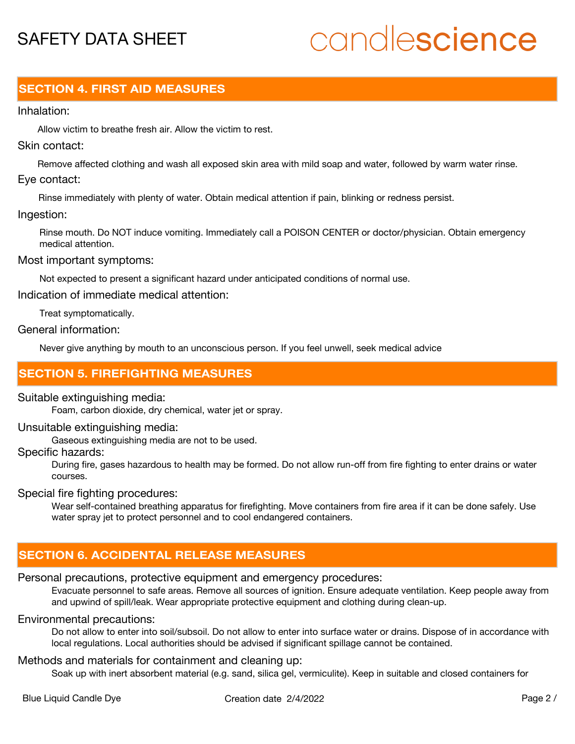# candlescience

# **SECTION 4. FIRST AID MEASURES**

### Inhalation:

Allow victim to breathe fresh air. Allow the victim to rest.

# Skin contact:

Remove affected clothing and wash all exposed skin area with mild soap and water, followed by warm water rinse. Eye contact:

Rinse immediately with plenty of water. Obtain medical attention if pain, blinking or redness persist.

### Ingestion:

Rinse mouth. Do NOT induce vomiting. Immediately call a POISON CENTER or doctor/physician. Obtain emergency medical attention.

### Most important symptoms:

Not expected to present a significant hazard under anticipated conditions of normal use.

Indication of immediate medical attention:

Treat symptomatically.

## General information:

Never give anything by mouth to an unconscious person. If you feel unwell, seek medical advice

# **SECTION 5. FIREFIGHTING MEASURES**

## Suitable extinguishing media:

Foam, carbon dioxide, dry chemical, water jet or spray.

### Unsuitable extinguishing media:

Gaseous extinguishing media are not to be used.

### Specific hazards:

During fire, gases hazardous to health may be formed. Do not allow run-off from fire fighting to enter drains or water courses.

## Special fire fighting procedures:

Wear self-contained breathing apparatus for firefighting. Move containers from fire area if it can be done safely. Use water spray jet to protect personnel and to cool endangered containers.

# **SECTION 6. ACCIDENTAL RELEASE MEASURES**

# Personal precautions, protective equipment and emergency procedures:

Evacuate personnel to safe areas. Remove all sources of ignition. Ensure adequate ventilation. Keep people away from and upwind of spill/leak. Wear appropriate protective equipment and clothing during clean-up.

## Environmental precautions:

Do not allow to enter into soil/subsoil. Do not allow to enter into surface water or drains. Dispose of in accordance with local regulations. Local authorities should be advised if significant spillage cannot be contained.

# Methods and materials for containment and cleaning up:

Soak up with inert absorbent material (e.g. sand, silica gel, vermiculite). Keep in suitable and closed containers for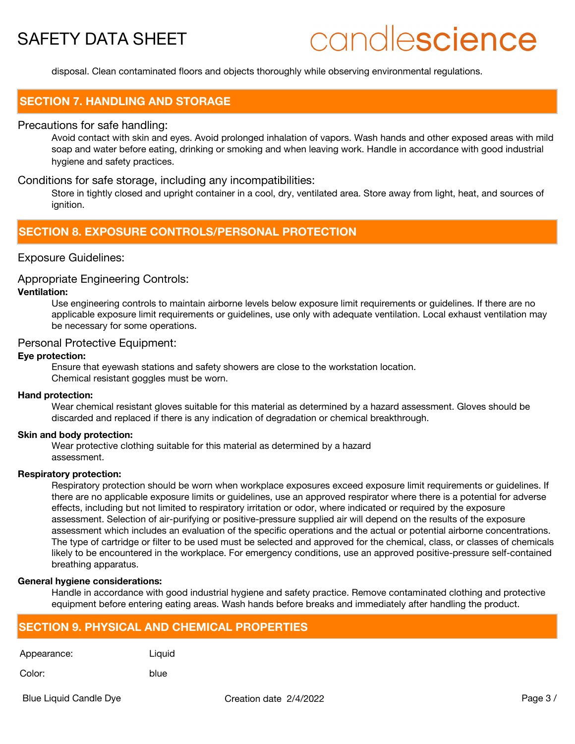# candlescience

disposal. Clean contaminated floors and objects thoroughly while observing environmental regulations.

# **SECTION 7. HANDLING AND STORAGE**

### Precautions for safe handling:

Avoid contact with skin and eyes. Avoid prolonged inhalation of vapors. Wash hands and other exposed areas with mild soap and water before eating, drinking or smoking and when leaving work. Handle in accordance with good industrial hygiene and safety practices.

### Conditions for safe storage, including any incompatibilities:

Store in tightly closed and upright container in a cool, dry, ventilated area. Store away from light, heat, and sources of ignition.

# **SECTION 8. EXPOSURE CONTROLS/PERSONAL PROTECTION**

### Exposure Guidelines:

#### Appropriate Engineering Controls:

### **Ventilation:**

Use engineering controls to maintain airborne levels below exposure limit requirements or guidelines. If there are no applicable exposure limit requirements or guidelines, use only with adequate ventilation. Local exhaust ventilation may be necessary for some operations.

## Personal Protective Equipment:

### **Eye protection:**

Ensure that eyewash stations and safety showers are close to the workstation location. Chemical resistant goggles must be worn.

#### **Hand protection:**

Wear chemical resistant gloves suitable for this material as determined by a hazard assessment. Gloves should be discarded and replaced if there is any indication of degradation or chemical breakthrough.

#### **Skin and body protection:**

Wear protective clothing suitable for this material as determined by a hazard assessment.

### **Respiratory protection:**

Respiratory protection should be worn when workplace exposures exceed exposure limit requirements or guidelines. If there are no applicable exposure limits or guidelines, use an approved respirator where there is a potential for adverse effects, including but not limited to respiratory irritation or odor, where indicated or required by the exposure assessment. Selection of air-purifying or positive-pressure supplied air will depend on the results of the exposure assessment which includes an evaluation of the specific operations and the actual or potential airborne concentrations. The type of cartridge or filter to be used must be selected and approved for the chemical, class, or classes of chemicals likely to be encountered in the workplace. For emergency conditions, use an approved positive-pressure self-contained breathing apparatus.

#### **General hygiene considerations:**

Handle in accordance with good industrial hygiene and safety practice. Remove contaminated clothing and protective equipment before entering eating areas. Wash hands before breaks and immediately after handling the product.

# **SECTION 9. PHYSICAL AND CHEMICAL PROPERTIES**

| Appearance: |  |
|-------------|--|
|-------------|--|

Liquid

Color: blue

Blue Liquid Candle Dye **Creation date 2/4/2022** Page 3 /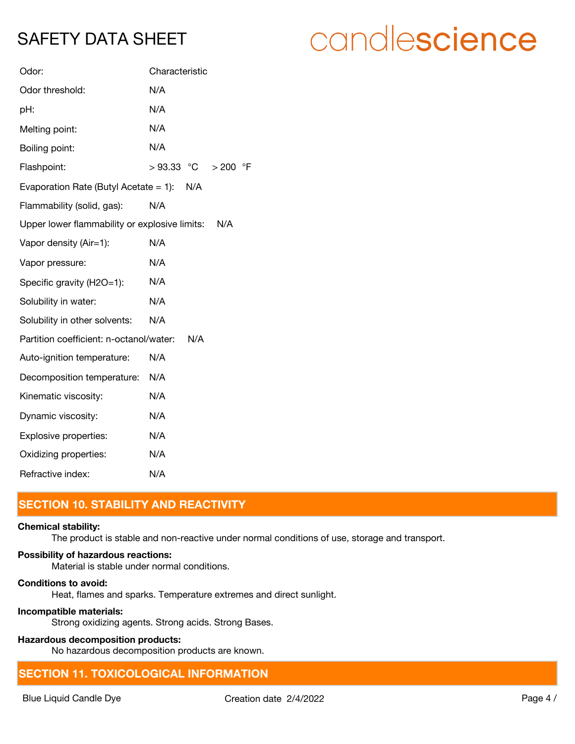| Odor:                                         | Characteristic                    |
|-----------------------------------------------|-----------------------------------|
| Odor threshold:                               | N/A                               |
| pH:                                           | N/A                               |
| Melting point:                                | N/A                               |
| Boiling point:                                | N/A                               |
| Flashpoint:                                   | $>93.33$ °C<br>$\circ$ F<br>> 200 |
| Evaporation Rate (Butyl Acetate $= 1$ ):      | N/A                               |
| Flammability (solid, gas):                    | N/A                               |
| Upper lower flammability or explosive limits: | N/A                               |
| Vapor density (Air=1):                        | N/A                               |
| Vapor pressure:                               | N/A                               |
| Specific gravity (H2O=1):                     | N/A                               |
| Solubility in water:                          | N/A                               |
| Solubility in other solvents:                 | N/A                               |
| Partition coefficient: n-octanol/water:       | N/A                               |
| Auto-ignition temperature:                    | N/A                               |
| Decomposition temperature:                    | N/A                               |
| Kinematic viscosity:                          | N/A                               |
| Dynamic viscosity:                            | N/A                               |
| Explosive properties:                         | N/A                               |
| Oxidizing properties:                         | N/A                               |
| Refractive index:                             | N/A                               |

# **SECTION 10. STABILITY AND REACTIVITY**

# **Chemical stability:**

The product is stable and non-reactive under normal conditions of use, storage and transport.

# **Possibility of hazardous reactions:**

Material is stable under normal conditions.

### **Conditions to avoid:**

Heat, flames and sparks. Temperature extremes and direct sunlight.

# **Incompatible materials:**

Strong oxidizing agents. Strong acids. Strong Bases.

# **Hazardous decomposition products:**

No hazardous decomposition products are known.

# **SECTION 11. TOXICOLOGICAL INFORMATION**

# candlescience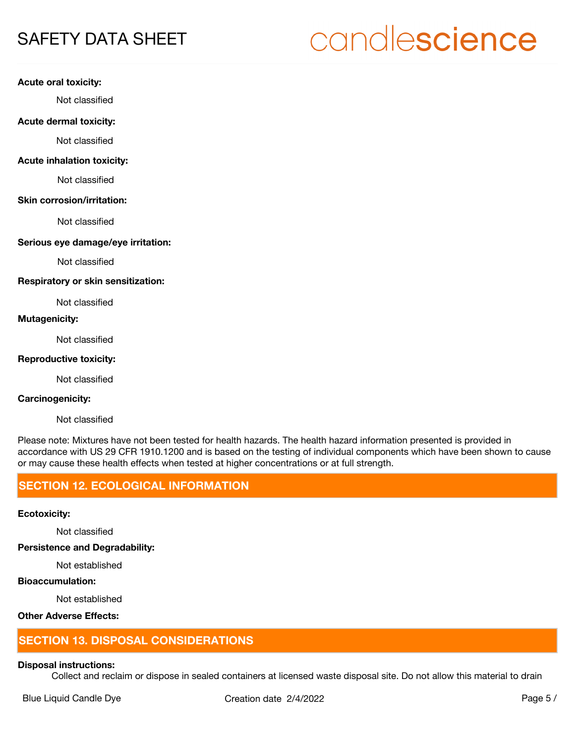# candlescience

### **Acute oral toxicity:**

Not classified

### **Acute dermal toxicity:**

Not classified

### **Acute inhalation toxicity:**

Not classified

### **Skin corrosion/irritation:**

Not classified

### **Serious eye damage/eye irritation:**

Not classified

### **Respiratory or skin sensitization:**

Not classified

### **Mutagenicity:**

Not classified

### **Reproductive toxicity:**

Not classified

### **Carcinogenicity:**

Not classified

Please note: Mixtures have not been tested for health hazards. The health hazard information presented is provided in accordance with US 29 CFR 1910.1200 and is based on the testing of individual components which have been shown to cause or may cause these health effects when tested at higher concentrations or at full strength.

# **SECTION 12. ECOLOGICAL INFORMATION**

### **Ecotoxicity:**

Not classified

**Persistence and Degradability:**

Not established

# **Bioaccumulation:**

Not established

# **Other Adverse Effects:**

# **SECTION 13. DISPOSAL CONSIDERATIONS**

#### **Disposal instructions:**

Collect and reclaim or dispose in sealed containers at licensed waste disposal site. Do not allow this material to drain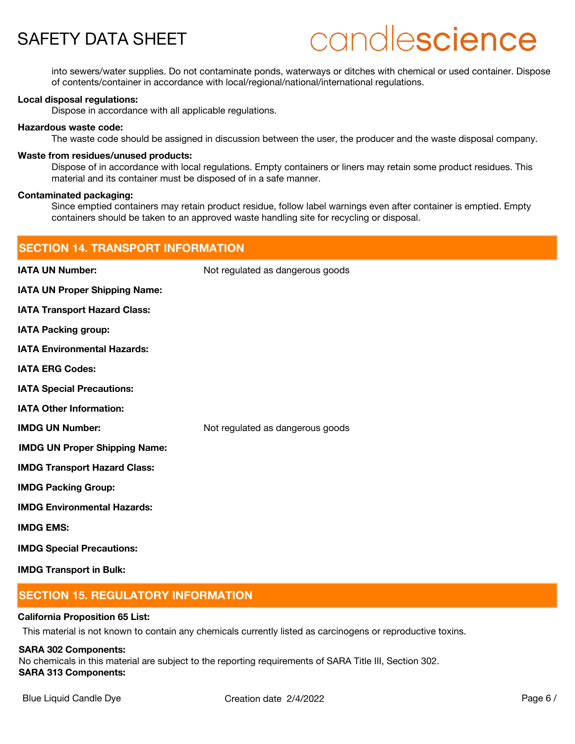# candlescience

into sewers/water supplies. Do not contaminate ponds, waterways or ditches with chemical or used container. Dispose of contents/container in accordance with local/regional/national/international regulations.

### **Local disposal regulations:**

Dispose in accordance with all applicable regulations.

### **Hazardous waste code:**

The waste code should be assigned in discussion between the user, the producer and the waste disposal company.

### **Waste from residues/unused products:**

Dispose of in accordance with local regulations. Empty containers or liners may retain some product residues. This material and its container must be disposed of in a safe manner.

### **Contaminated packaging:**

Since emptied containers may retain product residue, follow label warnings even after container is emptied. Empty containers should be taken to an approved waste handling site for recycling or disposal.

| <b>SECTION 14. TRANSPORT INFORMATION</b> |                                  |  |
|------------------------------------------|----------------------------------|--|
| <b>IATA UN Number:</b>                   | Not regulated as dangerous goods |  |
| <b>IATA UN Proper Shipping Name:</b>     |                                  |  |
| <b>IATA Transport Hazard Class:</b>      |                                  |  |
| <b>IATA Packing group:</b>               |                                  |  |
| <b>IATA Environmental Hazards:</b>       |                                  |  |
| <b>IATA ERG Codes:</b>                   |                                  |  |
| <b>IATA Special Precautions:</b>         |                                  |  |
| <b>IATA Other Information:</b>           |                                  |  |
| <b>IMDG UN Number:</b>                   | Not regulated as dangerous goods |  |
| <b>IMDG UN Proper Shipping Name:</b>     |                                  |  |
| <b>IMDG Transport Hazard Class:</b>      |                                  |  |
| <b>IMDG Packing Group:</b>               |                                  |  |
| <b>IMDG Environmental Hazards:</b>       |                                  |  |
| <b>IMDG EMS:</b>                         |                                  |  |
| <b>IMDG Special Precautions:</b>         |                                  |  |
| <b>IMDG Transport in Bulk:</b>           |                                  |  |

# **SECTION 15. REGULATORY INFORMATION**

### **California Proposition 65 List:**

This material is not known to contain any chemicals currently listed as carcinogens or reproductive toxins.

#### **SARA 302 Components:**

No chemicals in this material are subject to the reporting requirements of SARA Title III, Section 302. **SARA 313 Components:**

Blue Liquid Candle Dye **Creation date 2/4/2022** Page 6 /